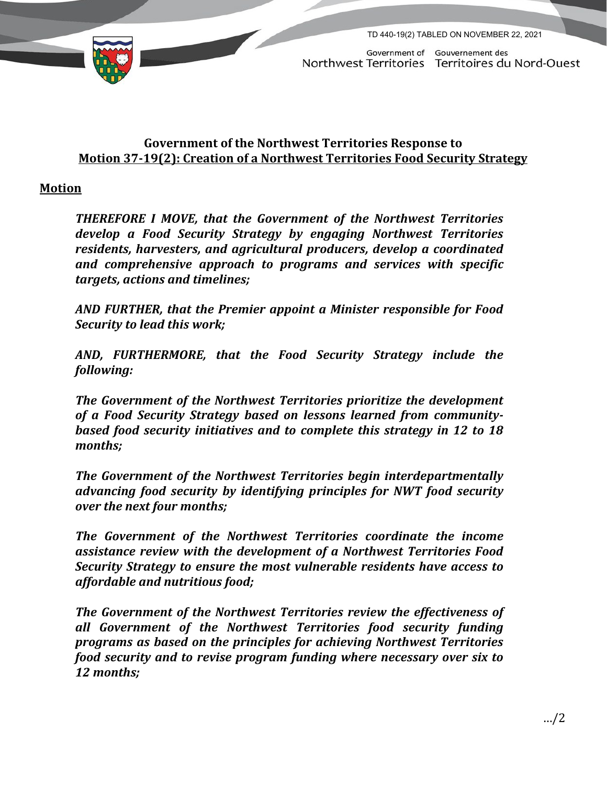

TD 440-19(2) TABLED ON NOVEMBER 22, 2021

Government of Gouvernement des Northwest Territories Territoires du Nord-Ouest

## **Government of the Northwest Territories Response to Motion 37-19(2): Creation of a Northwest Territories Food Security Strategy**

## **Motion**

*THEREFORE I MOVE, that the Government of the Northwest Territories develop a Food Security Strategy by engaging Northwest Territories residents, harvesters, and agricultural producers, develop a coordinated and comprehensive approach to programs and services with specific targets, actions and timelines;* 

*AND FURTHER, that the Premier appoint a Minister responsible for Food Security to lead this work;* 

*AND, FURTHERMORE, that the Food Security Strategy include the following:*

*The Government of the Northwest Territories prioritize the development of a Food Security Strategy based on lessons learned from communitybased food security initiatives and to complete this strategy in 12 to 18 months;*

*The Government of the Northwest Territories begin interdepartmentally advancing food security by identifying principles for NWT food security over the next four months;*

*The Government of the Northwest Territories coordinate the income assistance review with the development of a Northwest Territories Food Security Strategy to ensure the most vulnerable residents have access to affordable and nutritious food;*

*The Government of the Northwest Territories review the effectiveness of all Government of the Northwest Territories food security funding programs as based on the principles for achieving Northwest Territories food security and to revise program funding where necessary over six to 12 months;*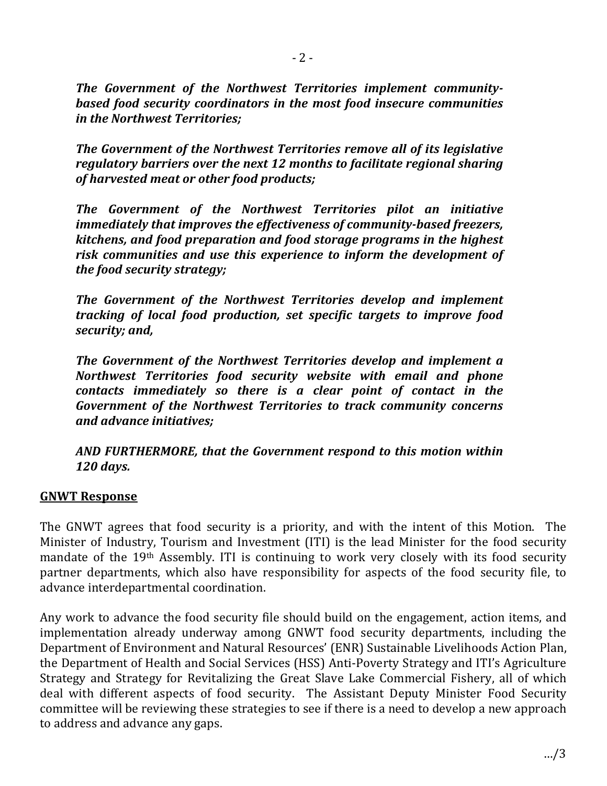*The Government of the Northwest Territories implement communitybased food security coordinators in the most food insecure communities in the Northwest Territories;*

*The Government of the Northwest Territories remove all of its legislative regulatory barriers over the next 12 months to facilitate regional sharing of harvested meat or other food products;*

*The Government of the Northwest Territories pilot an initiative immediately that improves the effectiveness of community-based freezers, kitchens, and food preparation and food storage programs in the highest risk communities and use this experience to inform the development of the food security strategy;*

*The Government of the Northwest Territories develop and implement tracking of local food production, set specific targets to improve food security; and,*

*The Government of the Northwest Territories develop and implement a Northwest Territories food security website with email and phone contacts immediately so there is a clear point of contact in the Government of the Northwest Territories to track community concerns and advance initiatives;* 

*AND FURTHERMORE, that the Government respond to this motion within 120 days.* 

## **GNWT Response**

The GNWT agrees that food security is a priority, and with the intent of this Motion. The Minister of Industry, Tourism and Investment (ITI) is the lead Minister for the food security mandate of the 19th Assembly. ITI is continuing to work very closely with its food security partner departments, which also have responsibility for aspects of the food security file, to advance interdepartmental coordination.

Any work to advance the food security file should build on the engagement, action items, and implementation already underway among GNWT food security departments, including the Department of Environment and Natural Resources' (ENR) Sustainable Livelihoods Action Plan, the Department of Health and Social Services (HSS) Anti-Poverty Strategy and ITI's Agriculture Strategy and Strategy for Revitalizing the Great Slave Lake Commercial Fishery, all of which deal with different aspects of food security. The Assistant Deputy Minister Food Security committee will be reviewing these strategies to see if there is a need to develop a new approach to address and advance any gaps.